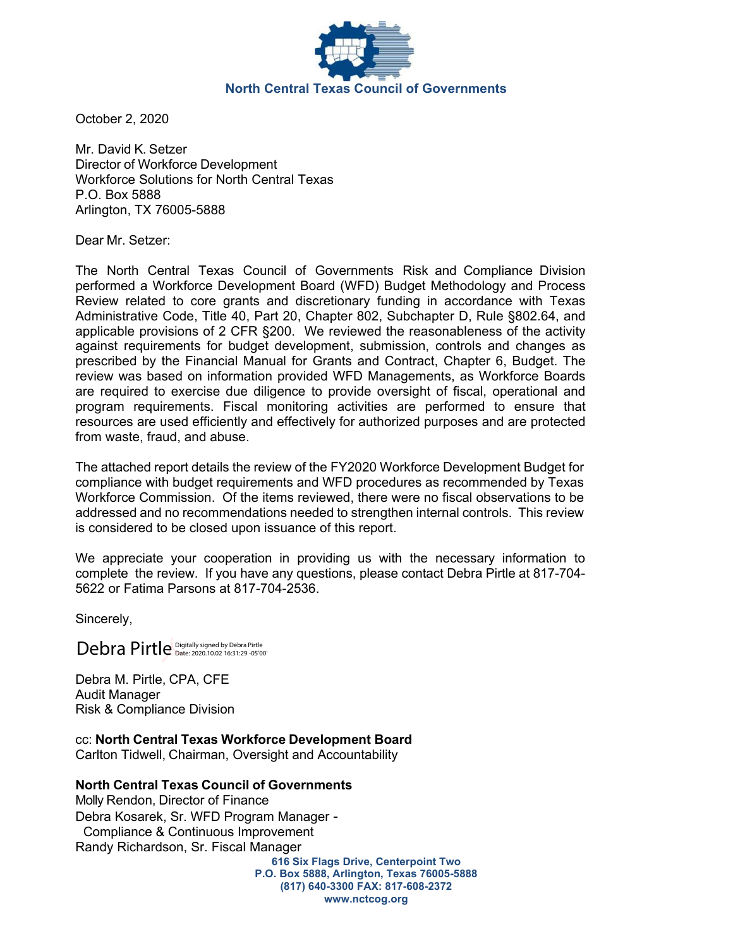

October 2, 2020

Mr. David K. Setzer Director of Workforce Development Workforce Solutions for North Central Texas P.O. Box 5888 Arlington, TX 76005-5888

Dear Mr. Setzer:

The North Central Texas Council of Governments Risk and Compliance Division performed a Workforce Development Board (WFD) Budget Methodology and Process Review related to core grants and discretionary funding in accordance with Texas Administrative Code, Title 40, Part 20, Chapter 802, Subchapter D, Rule §802.64, and applicable provisions of 2 CFR §200. We reviewed the reasonableness of the activity against requirements for budget development, submission, controls and changes as prescribed by the Financial Manual for Grants and Contract, Chapter 6, Budget. The review was based on information provided WFD Managements, as Workforce Boards are required to exercise due diligence to provide oversight of fiscal, operational and program requirements. Fiscal monitoring activities are performed to ensure that resources are used efficiently and effectively for authorized purposes and are protected from waste, fraud, and abuse.

The attached report details the review of the FY2020 Workforce Development Budget for compliance with budget requirements and WFD procedures as recommended by Texas Workforce Commission. Of the items reviewed, there were no fiscal observations to be addressed and no recommendations needed to strengthen internal controls. This review is considered to be closed upon issuance of this report.

We appreciate your cooperation in providing us with the necessary information to complete the review. If you have any questions, please contact Debra Pirtle at 817-704- 5622 or Fatima Parsons at 817-704-2536.

Sincerely,

Debra Pirtle Digitally signed by Debra Pirtle

Debra M. Pirtle, CPA, CFE Audit Manager Risk & Compliance Division

cc: **North Central Texas Workforce Development Board** Carlton Tidwell, Chairman, Oversight and Accountability

**North Central Texas Council of Governments**

Molly Rendon, Director of Finance Debra Kosarek, Sr. WFD Program Manager - Compliance & Continuous Improvement Randy Richardson, Sr. Fiscal Manager

**616 Six Flags Drive, Centerpoint Two P.O. Box 5888, Arlington, Texas 76005-5888 (817) 640-3300 FAX: 817-608-2372 www.nctcog.org**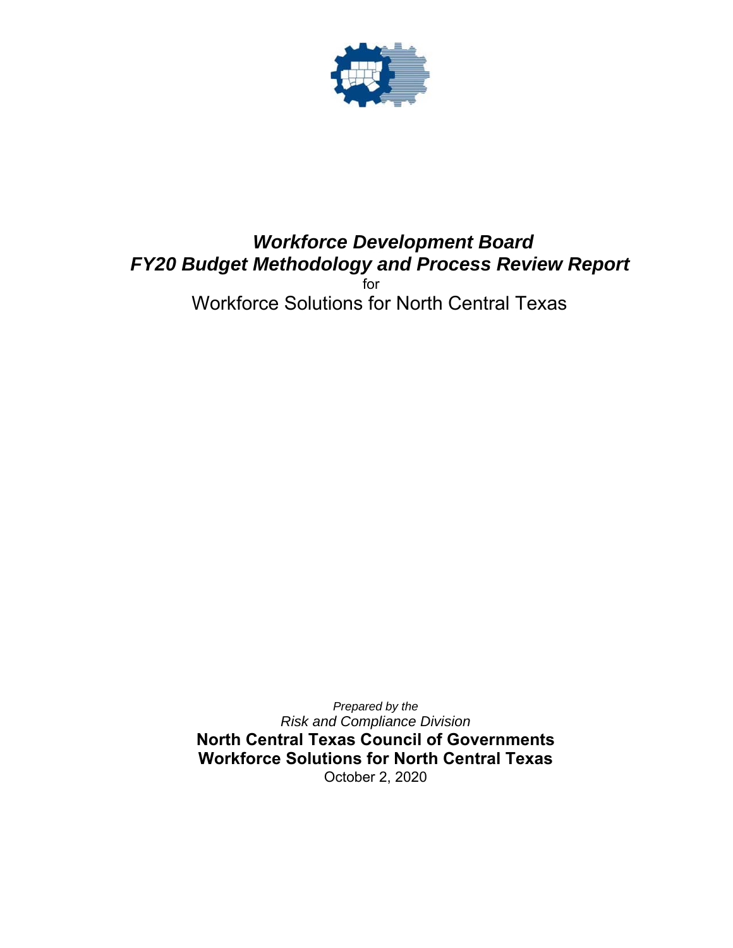

# *Workforce Development Board FY20 Budget Methodology and Process Review Report*for

Workforce Solutions for North Central Texas

*Prepared by the Risk and Compliance Division*  **North Central Texas Council of Governments Workforce Solutions for North Central Texas**  October 2, 2020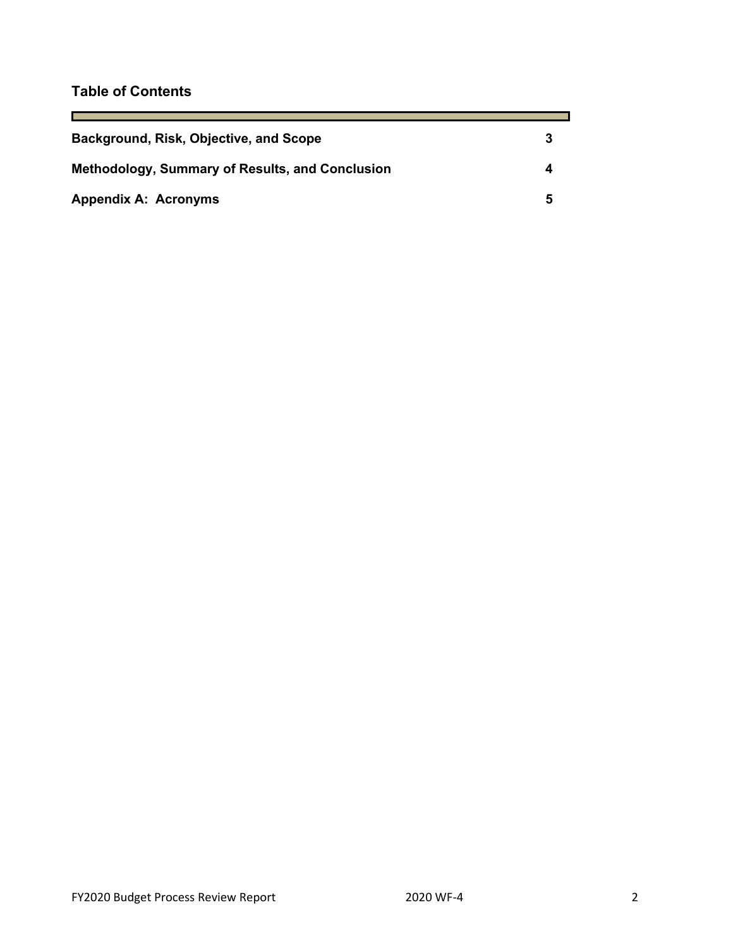## **Table of Contents**

<u> Tanzania (</u>

| Background, Risk, Objective, and Scope                 |  |
|--------------------------------------------------------|--|
| <b>Methodology, Summary of Results, and Conclusion</b> |  |
| <b>Appendix A: Acronyms</b>                            |  |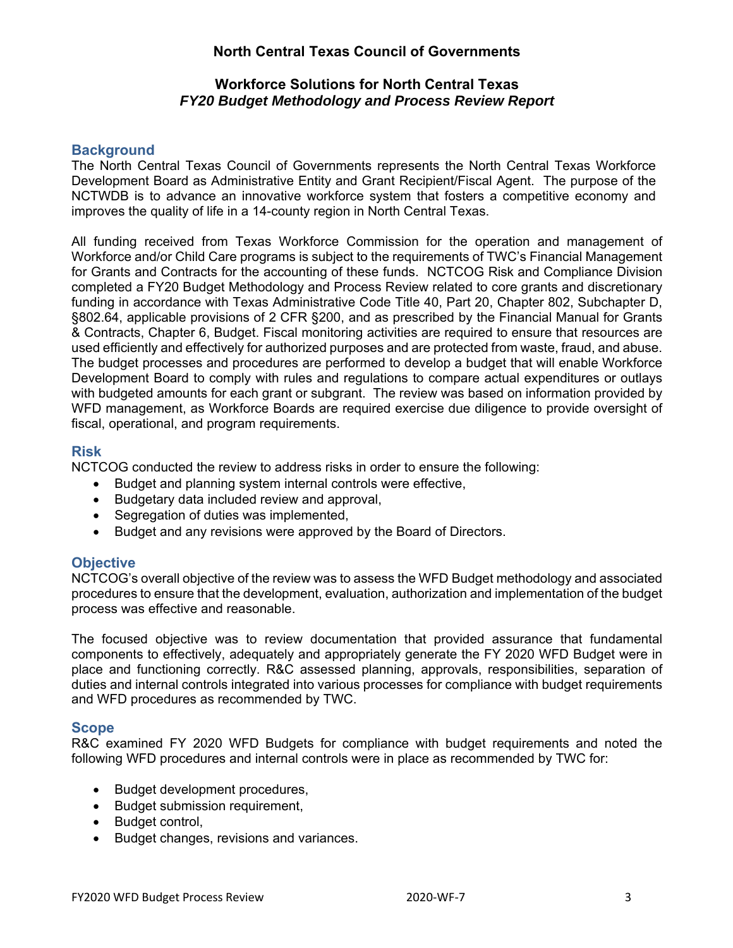## **North Central Texas Council of Governments**

#### **Workforce Solutions for North Central Texas**  *FY20 Budget Methodology and Process Review Report*

### **Background**

The North Central Texas Council of Governments represents the North Central Texas Workforce Development Board as Administrative Entity and Grant Recipient/Fiscal Agent. The purpose of the NCTWDB is to advance an innovative workforce system that fosters a competitive economy and improves the quality of life in a 14-county region in North Central Texas.

All funding received from Texas Workforce Commission for the operation and management of Workforce and/or Child Care programs is subject to the requirements of TWC's Financial Management for Grants and Contracts for the accounting of these funds. NCTCOG Risk and Compliance Division completed a FY20 Budget Methodology and Process Review related to core grants and discretionary funding in accordance with Texas Administrative Code Title 40, Part 20, Chapter 802, Subchapter D, §802.64, applicable provisions of 2 CFR §200, and as prescribed by the Financial Manual for Grants & Contracts, Chapter 6, Budget. Fiscal monitoring activities are required to ensure that resources are used efficiently and effectively for authorized purposes and are protected from waste, fraud, and abuse. The budget processes and procedures are performed to develop a budget that will enable Workforce Development Board to comply with rules and regulations to compare actual expenditures or outlays with budgeted amounts for each grant or subgrant. The review was based on information provided by WFD management, as Workforce Boards are required exercise due diligence to provide oversight of fiscal, operational, and program requirements.

#### **Risk**

NCTCOG conducted the review to address risks in order to ensure the following:

- Budget and planning system internal controls were effective,
- Budgetary data included review and approval,
- Segregation of duties was implemented,
- Budget and any revisions were approved by the Board of Directors.

#### **Objective**

NCTCOG's overall objective of the review was to assess the WFD Budget methodology and associated procedures to ensure that the development, evaluation, authorization and implementation of the budget process was effective and reasonable.

The focused objective was to review documentation that provided assurance that fundamental components to effectively, adequately and appropriately generate the FY 2020 WFD Budget were in place and functioning correctly. R&C assessed planning, approvals, responsibilities, separation of duties and internal controls integrated into various processes for compliance with budget requirements and WFD procedures as recommended by TWC.

#### **Scope**

R&C examined FY 2020 WFD Budgets for compliance with budget requirements and noted the following WFD procedures and internal controls were in place as recommended by TWC for:

- Budget development procedures,
- Budget submission requirement,
- Budget control,
- Budget changes, revisions and variances.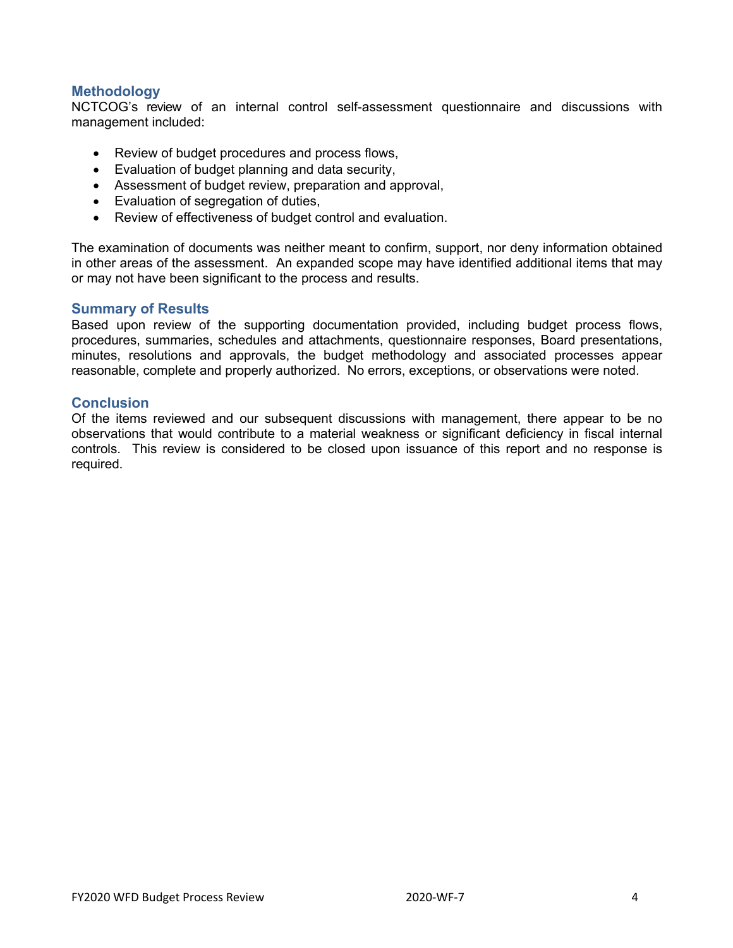#### **Methodology**

NCTCOG's review of an internal control self-assessment questionnaire and discussions with management included:

- Review of budget procedures and process flows,
- Evaluation of budget planning and data security,
- Assessment of budget review, preparation and approval,
- Evaluation of segregation of duties,
- Review of effectiveness of budget control and evaluation.

The examination of documents was neither meant to confirm, support, nor deny information obtained in other areas of the assessment. An expanded scope may have identified additional items that may or may not have been significant to the process and results.

#### **Summary of Results**

Based upon review of the supporting documentation provided, including budget process flows, procedures, summaries, schedules and attachments, questionnaire responses, Board presentations, minutes, resolutions and approvals, the budget methodology and associated processes appear reasonable, complete and properly authorized. No errors, exceptions, or observations were noted.

#### **Conclusion**

Of the items reviewed and our subsequent discussions with management, there appear to be no observations that would contribute to a material weakness or significant deficiency in fiscal internal controls. This review is considered to be closed upon issuance of this report and no response is required.